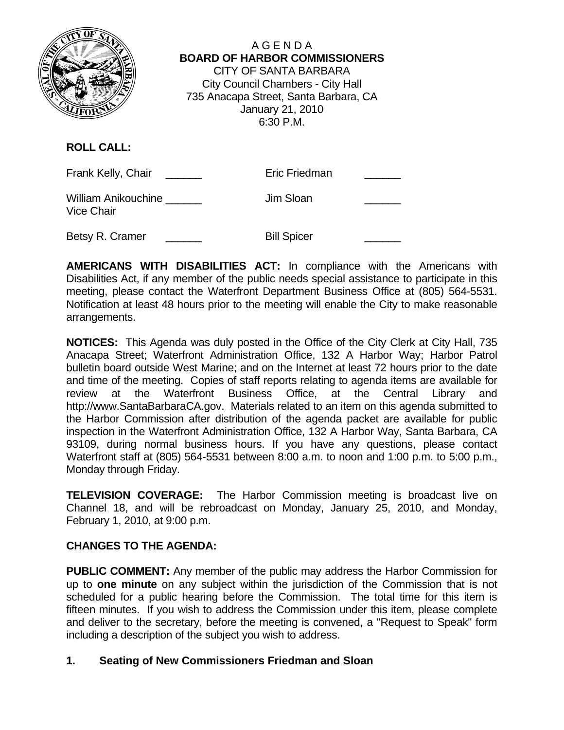

A G E N D A  **BOARD OF HARBOR COMMISSIONERS** CITY OF SANTA BARBARA City Council Chambers - City Hall 735 Anacapa Street, Santa Barbara, CA January 21, 2010 6:30 P.M.

**ROLL CALL:**

| Frank Kelly, Chair                              | Eric Friedman      |  |
|-------------------------------------------------|--------------------|--|
| <b>William Anikouchine</b><br><b>Vice Chair</b> | Jim Sloan          |  |
| Betsy R. Cramer                                 | <b>Bill Spicer</b> |  |

**AMERICANS WITH DISABILITIES ACT:** In compliance with the Americans with Disabilities Act, if any member of the public needs special assistance to participate in this meeting, please contact the Waterfront Department Business Office at (805) 564-5531. Notification at least 48 hours prior to the meeting will enable the City to make reasonable arrangements.

**NOTICES:** This Agenda was duly posted in the Office of the City Clerk at City Hall, 735 Anacapa Street; Waterfront Administration Office, 132 A Harbor Way; Harbor Patrol bulletin board outside West Marine; and on the Internet at least 72 hours prior to the date and time of the meeting. Copies of staff reports relating to agenda items are available for review at the Waterfront Business Office, at the Central Library and http://www.SantaBarbaraCA.gov. Materials related to an item on this agenda submitted to the Harbor Commission after distribution of the agenda packet are available for public inspection in the Waterfront Administration Office, 132 A Harbor Way, Santa Barbara, CA 93109, during normal business hours. If you have any questions, please contact Waterfront staff at (805) 564-5531 between 8:00 a.m. to noon and 1:00 p.m. to 5:00 p.m., Monday through Friday.

**TELEVISION COVERAGE:** The Harbor Commission meeting is broadcast live on Channel 18, and will be rebroadcast on Monday, January 25, 2010, and Monday, February 1, 2010, at 9:00 p.m.

# **CHANGES TO THE AGENDA:**

**PUBLIC COMMENT:** Any member of the public may address the Harbor Commission for up to **one minute** on any subject within the jurisdiction of the Commission that is not scheduled for a public hearing before the Commission. The total time for this item is fifteen minutes. If you wish to address the Commission under this item, please complete and deliver to the secretary, before the meeting is convened, a "Request to Speak" form including a description of the subject you wish to address.

# **1. Seating of New Commissioners Friedman and Sloan**